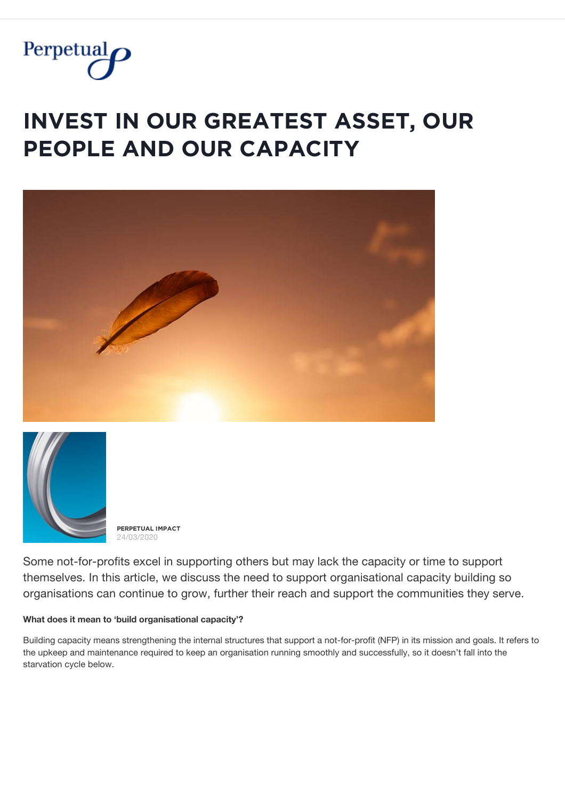

# **INVEST IN OUR GREATEST ASSET, OUR PEOPLE AND OUR CAPACITY**





**PĚŘPĚȚŲǺĿ İMPǺČȚ** 24/03/2020

Some not-for-profits excel in supporting others but may lack the capacity or time to support themselves. In this article, we discuss the need to support organisational capacity building so organisations can continue to grow, further their reach and support the communities they serve.

#### **What does it mean to 'build organisational capacity'?**

Building capacity means strengthening the internal structures that support a not-for-profit (NFP) in its mission and goals. It refers to the upkeep and maintenance required to keep an organisation running smoothly and successfully, so it doesn't fall into the starvation cycle below.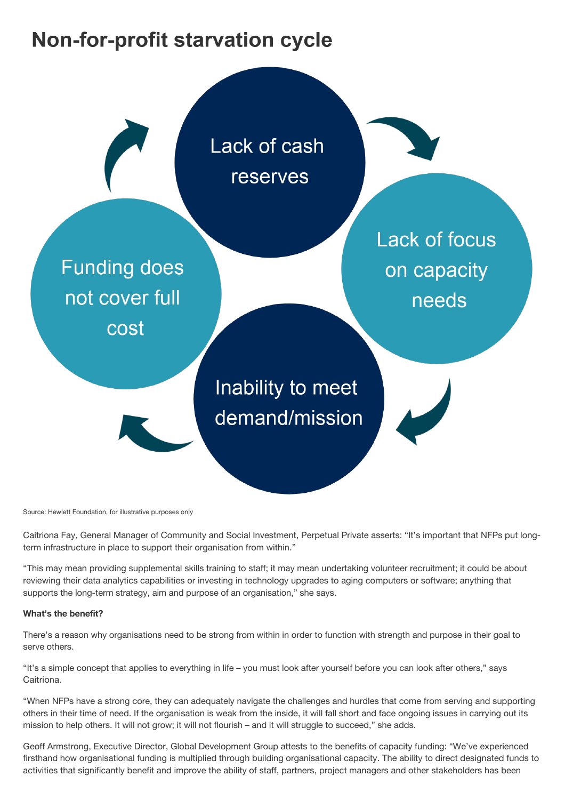# **Non-for-profit starvation cycle**



Source: Hewlett Foundation, for illustrative purposes only

Caitriona Fay, General Manager of Community and Social Investment, Perpetual Private asserts: "It's important that NFPs put longterm infrastructure in place to support their organisation from within."

"This may mean providing supplemental skills training to staff; it may mean undertaking volunteer recruitment; it could be about reviewing their data analytics capabilities or investing in technology upgrades to aging computers or software; anything that supports the long-term strategy, aim and purpose of an organisation," she says.

#### **What's the benefit?**

There's a reason why organisations need to be strong from within in order to function with strength and purpose in their goal to serve others.

"It's a simple concept that applies to everything in life – you must look after yourself before you can look after others," says Caitriona.

"When NFPs have a strong core, they can adequately navigate the challenges and hurdles that come from serving and supporting others in their time of need. If the organisation is weak from the inside, it will fall short and face ongoing issues in carrying out its mission to help others. It will not grow; it will not flourish – and it will struggle to succeed," she adds.

Geoff Armstrong, Executive Director, Global Development Group attests to the benefits of capacity funding: "We've experienced firsthand how organisational funding is multiplied through building organisational capacity. The ability to direct designated funds to activities that significantly benefit and improve the ability of staff, partners, project managers and other stakeholders has been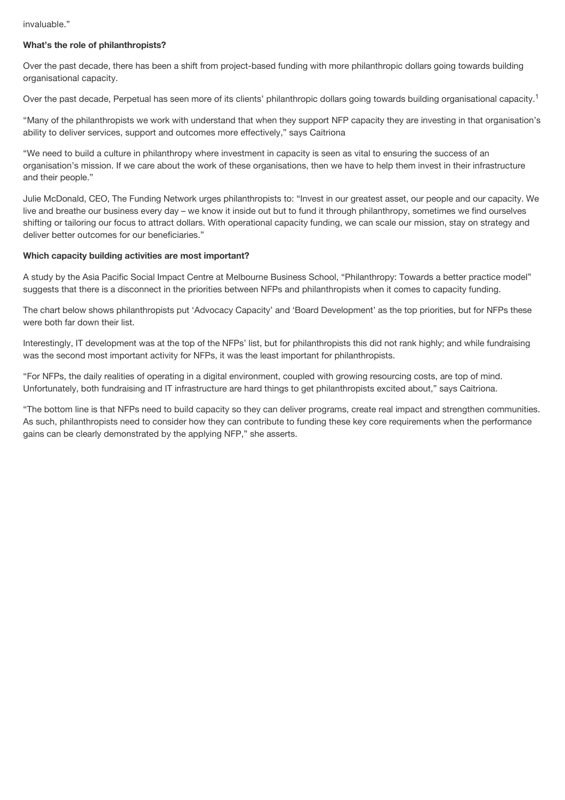#### invaluable."

#### **What's the role of philanthropists?**

Over the past decade, there has been a shift from project-based funding with more philanthropic dollars going towards building organisational capacity.

Over the past decade, Perpetual has seen more of its clients' philanthropic dollars going towards building organisational capacity.<sup>1</sup>

"Many of the philanthropists we work with understand that when they support NFP capacity they are investing in that organisation's ability to deliver services, support and outcomes more effectively," says Caitriona

"We need to build a culture in philanthropy where investment in capacity is seen as vital to ensuring the success of an organisation's mission. If we care about the work of these organisations, then we have to help them invest in their infrastructure and their people."

Julie McDonald, CEO, The Funding Network urges philanthropists to: "Invest in our greatest asset, our people and our capacity. We live and breathe our business every day – we know it inside out but to fund it through philanthropy, sometimes we find ourselves shifting or tailoring our focus to attract dollars. With operational capacity funding, we can scale our mission, stay on strategy and deliver better outcomes for our beneficiaries."

#### **Which capacity building activities are most important?**

A study by the Asia Pacific Social Impact Centre at Melbourne Business School, "Philanthropy: Towards a better practice model" suggests that there is a disconnect in the priorities between NFPs and philanthropists when it comes to capacity funding.

The chart below shows philanthropists put 'Advocacy Capacity' and 'Board Development' as the top priorities, but for NFPs these were both far down their list.

Interestingly, IT development was at the top of the NFPs' list, but for philanthropists this did not rank highly; and while fundraising was the second most important activity for NFPs, it was the least important for philanthropists.

"For NFPs, the daily realities of operating in a digital environment, coupled with growing resourcing costs, are top of mind. Unfortunately, both fundraising and IT infrastructure are hard things to get philanthropists excited about," says Caitriona.

"The bottom line is that NFPs need to build capacity so they can deliver programs, create real impact and strengthen communities. As such, philanthropists need to consider how they can contribute to funding these key core requirements when the performance gains can be clearly demonstrated by the applying NFP," she asserts.